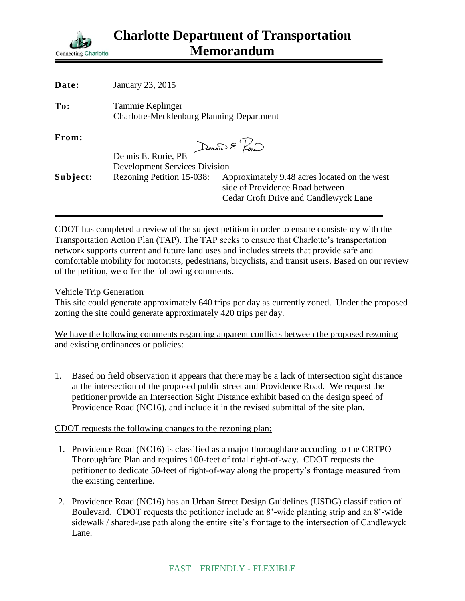

| Date:    | January 23, 2015                                                     |                                                                                                                          |
|----------|----------------------------------------------------------------------|--------------------------------------------------------------------------------------------------------------------------|
| To:      | Tammie Keplinger<br><b>Charlotte-Mecklenburg Planning Department</b> |                                                                                                                          |
| From:    | Dennis E. Rorie, PE                                                  | Dennis E. Pour                                                                                                           |
|          | <b>Development Services Division</b>                                 |                                                                                                                          |
| Subject: | Rezoning Petition 15-038:                                            | Approximately 9.48 acres located on the west<br>side of Providence Road between<br>Cedar Croft Drive and Candlewyck Lane |
|          |                                                                      |                                                                                                                          |

CDOT has completed a review of the subject petition in order to ensure consistency with the Transportation Action Plan (TAP). The TAP seeks to ensure that Charlotte's transportation network supports current and future land uses and includes streets that provide safe and comfortable mobility for motorists, pedestrians, bicyclists, and transit users. Based on our review of the petition, we offer the following comments.

## Vehicle Trip Generation

This site could generate approximately 640 trips per day as currently zoned. Under the proposed zoning the site could generate approximately 420 trips per day.

We have the following comments regarding apparent conflicts between the proposed rezoning and existing ordinances or policies:

1. Based on field observation it appears that there may be a lack of intersection sight distance at the intersection of the proposed public street and Providence Road. We request the petitioner provide an Intersection Sight Distance exhibit based on the design speed of Providence Road (NC16), and include it in the revised submittal of the site plan.

## CDOT requests the following changes to the rezoning plan:

- 1. Providence Road (NC16) is classified as a major thoroughfare according to the CRTPO Thoroughfare Plan and requires 100-feet of total right-of-way. CDOT requests the petitioner to dedicate 50-feet of right-of-way along the property's frontage measured from the existing centerline.
- 2. Providence Road (NC16) has an Urban Street Design Guidelines (USDG) classification of Boulevard. CDOT requests the petitioner include an 8'-wide planting strip and an 8'-wide sidewalk / shared-use path along the entire site's frontage to the intersection of Candlewyck Lane.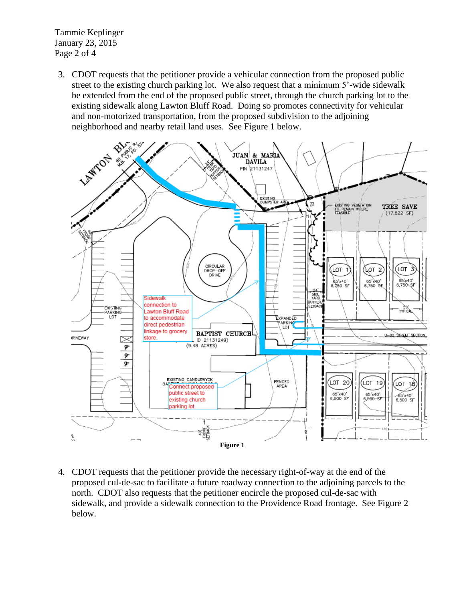Tammie Keplinger January 23, 2015 Page 2 of 4

3. CDOT requests that the petitioner provide a vehicular connection from the proposed public street to the existing church parking lot. We also request that a minimum 5'-wide sidewalk be extended from the end of the proposed public street, through the church parking lot to the existing sidewalk along Lawton Bluff Road. Doing so promotes connectivity for vehicular and non-motorized transportation, from the proposed subdivision to the adjoining neighborhood and nearby retail land uses. See Figure 1 below.



4. CDOT requests that the petitioner provide the necessary right-of-way at the end of the proposed cul-de-sac to facilitate a future roadway connection to the adjoining parcels to the north. CDOT also requests that the petitioner encircle the proposed cul-de-sac with sidewalk, and provide a sidewalk connection to the Providence Road frontage. See Figure 2 below.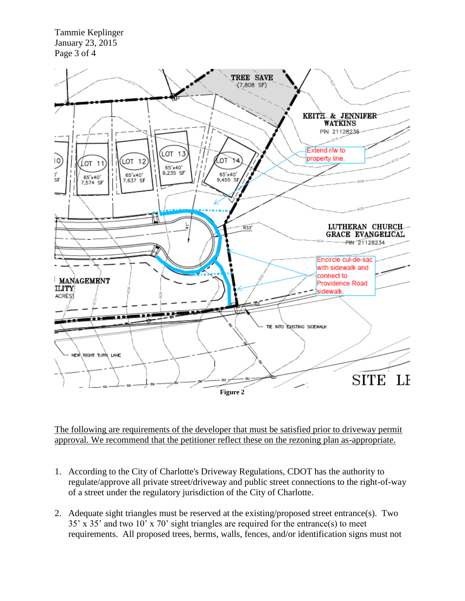Tammie Keplinger January 23, 2015 Page 3 of 4



The following are requirements of the developer that must be satisfied prior to driveway permit approval. We recommend that the petitioner reflect these on the rezoning plan as-appropriate.

- 1. According to the City of Charlotte's Driveway Regulations, CDOT has the authority to regulate/approve all private street/driveway and public street connections to the right-of-way of a street under the regulatory jurisdiction of the City of Charlotte.
- 2. Adequate sight triangles must be reserved at the existing/proposed street entrance(s). Two 35' x 35' and two 10' x 70' sight triangles are required for the entrance(s) to meet requirements. All proposed trees, berms, walls, fences, and/or identification signs must not